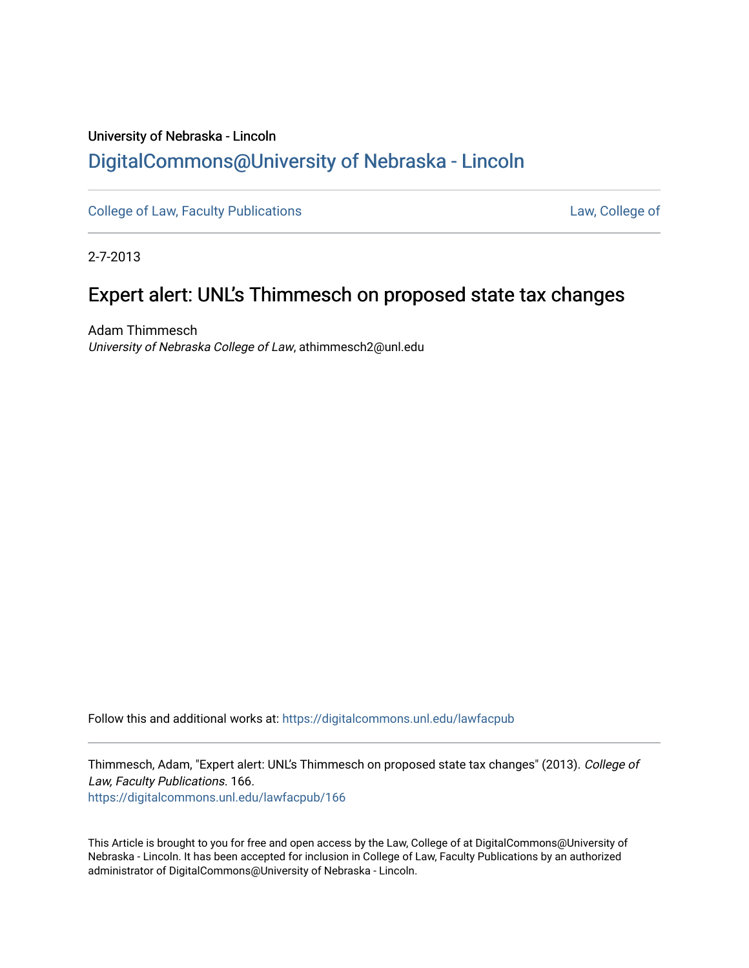# University of Nebraska - Lincoln [DigitalCommons@University of Nebraska - Lincoln](https://digitalcommons.unl.edu/)

[College of Law, Faculty Publications](https://digitalcommons.unl.edu/lawfacpub) **[Law, College of](https://digitalcommons.unl.edu/law) Law, College of** 

2-7-2013

# Expert alert: UNL's Thimmesch on proposed state tax changes

Adam Thimmesch University of Nebraska College of Law, athimmesch2@unl.edu

Follow this and additional works at: [https://digitalcommons.unl.edu/lawfacpub](https://digitalcommons.unl.edu/lawfacpub?utm_source=digitalcommons.unl.edu%2Flawfacpub%2F166&utm_medium=PDF&utm_campaign=PDFCoverPages) 

Thimmesch, Adam, "Expert alert: UNL's Thimmesch on proposed state tax changes" (2013). College of Law, Faculty Publications. 166.

[https://digitalcommons.unl.edu/lawfacpub/166](https://digitalcommons.unl.edu/lawfacpub/166?utm_source=digitalcommons.unl.edu%2Flawfacpub%2F166&utm_medium=PDF&utm_campaign=PDFCoverPages) 

This Article is brought to you for free and open access by the Law, College of at DigitalCommons@University of Nebraska - Lincoln. It has been accepted for inclusion in College of Law, Faculty Publications by an authorized administrator of DigitalCommons@University of Nebraska - Lincoln.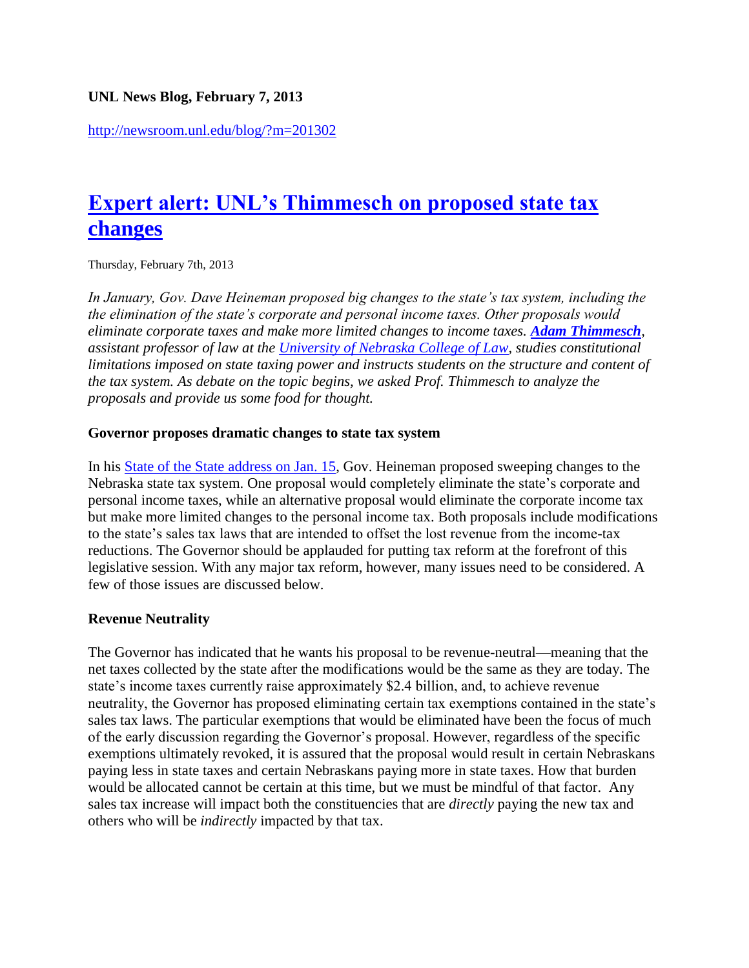### **UNL News Blog, February 7, 2013**

<http://newsroom.unl.edu/blog/?m=201302>

# **[Expert alert: UNL's Thimmesch on proposed state tax](http://newsroom.unl.edu/blog/?p=1506)  [changes](http://newsroom.unl.edu/blog/?p=1506)**

Thursday, February 7th, 2013

*In January, Gov. Dave Heineman proposed big changes to the state's tax system, including the the elimination of the state's corporate and personal income taxes. Other proposals would eliminate corporate taxes and make more limited changes to income taxes. [Adam Thimmesch](http://law.unl.edu/facstaff/faculty/resident/athimmesch.shtml), assistant professor of law at the [University of Nebraska College of Law,](http://law.unl.edu/) studies constitutional limitations imposed on state taxing power and instructs students on the structure and content of the tax system. As debate on the topic begins, we asked Prof. Thimmesch to analyze the proposals and provide us some food for thought.*

#### **Governor proposes dramatic changes to state tax system**

In his **State of the State address on Jan. 15, Gov.** Heineman proposed sweeping changes to the Nebraska state tax system. One proposal would completely eliminate the state's corporate and personal income taxes, while an alternative proposal would eliminate the corporate income tax but make more limited changes to the personal income tax. Both proposals include modifications to the state's sales tax laws that are intended to offset the lost revenue from the income-tax reductions. The Governor should be applauded for putting tax reform at the forefront of this legislative session. With any major tax reform, however, many issues need to be considered. A few of those issues are discussed below.

#### **Revenue Neutrality**

The Governor has indicated that he wants his proposal to be revenue-neutral—meaning that the net taxes collected by the state after the modifications would be the same as they are today. The state's income taxes currently raise approximately \$2.4 billion, and, to achieve revenue neutrality, the Governor has proposed eliminating certain tax exemptions contained in the state's sales tax laws. The particular exemptions that would be eliminated have been the focus of much of the early discussion regarding the Governor's proposal. However, regardless of the specific exemptions ultimately revoked, it is assured that the proposal would result in certain Nebraskans paying less in state taxes and certain Nebraskans paying more in state taxes. How that burden would be allocated cannot be certain at this time, but we must be mindful of that factor. Any sales tax increase will impact both the constituencies that are *directly* paying the new tax and others who will be *indirectly* impacted by that tax.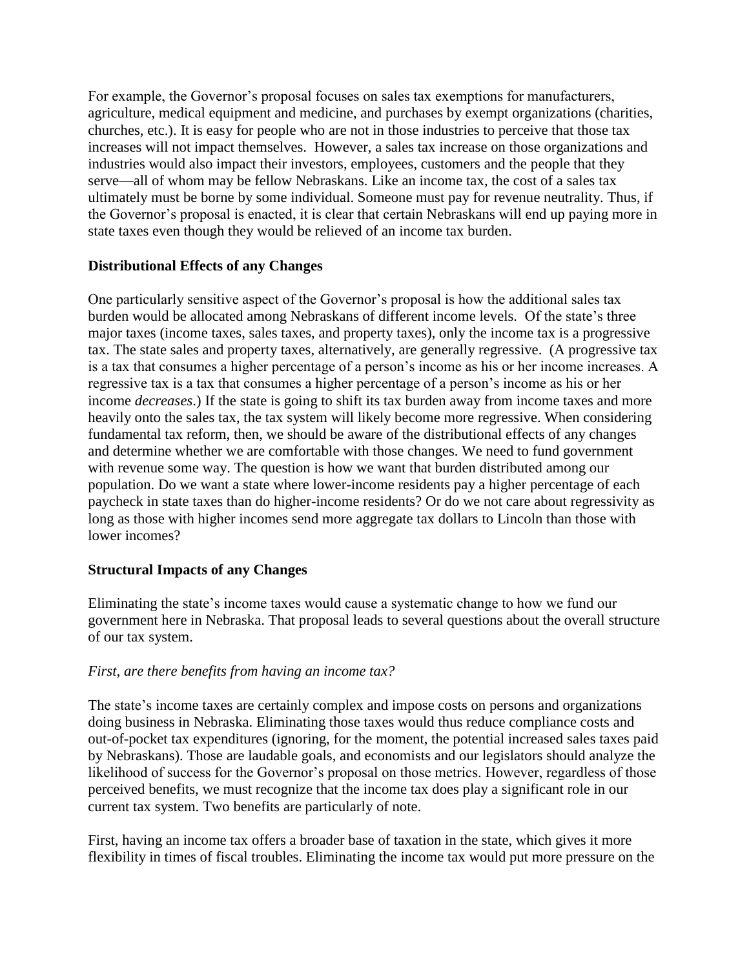For example, the Governor's proposal focuses on sales tax exemptions for manufacturers, agriculture, medical equipment and medicine, and purchases by exempt organizations (charities, churches, etc.). It is easy for people who are not in those industries to perceive that those tax increases will not impact themselves. However, a sales tax increase on those organizations and industries would also impact their investors, employees, customers and the people that they serve—all of whom may be fellow Nebraskans. Like an income tax, the cost of a sales tax ultimately must be borne by some individual. Someone must pay for revenue neutrality. Thus, if the Governor's proposal is enacted, it is clear that certain Nebraskans will end up paying more in state taxes even though they would be relieved of an income tax burden.

# **Distributional Effects of any Changes**

One particularly sensitive aspect of the Governor's proposal is how the additional sales tax burden would be allocated among Nebraskans of different income levels. Of the state's three major taxes (income taxes, sales taxes, and property taxes), only the income tax is a progressive tax. The state sales and property taxes, alternatively, are generally regressive. (A progressive tax is a tax that consumes a higher percentage of a person's income as his or her income increases. A regressive tax is a tax that consumes a higher percentage of a person's income as his or her income *decreases*.) If the state is going to shift its tax burden away from income taxes and more heavily onto the sales tax, the tax system will likely become more regressive. When considering fundamental tax reform, then, we should be aware of the distributional effects of any changes and determine whether we are comfortable with those changes. We need to fund government with revenue some way. The question is how we want that burden distributed among our population. Do we want a state where lower-income residents pay a higher percentage of each paycheck in state taxes than do higher-income residents? Or do we not care about regressivity as long as those with higher incomes send more aggregate tax dollars to Lincoln than those with lower incomes?

#### **Structural Impacts of any Changes**

Eliminating the state's income taxes would cause a systematic change to how we fund our government here in Nebraska. That proposal leads to several questions about the overall structure of our tax system.

#### *First, are there benefits from having an income tax?*

The state's income taxes are certainly complex and impose costs on persons and organizations doing business in Nebraska. Eliminating those taxes would thus reduce compliance costs and out-of-pocket tax expenditures (ignoring, for the moment, the potential increased sales taxes paid by Nebraskans). Those are laudable goals, and economists and our legislators should analyze the likelihood of success for the Governor's proposal on those metrics. However, regardless of those perceived benefits, we must recognize that the income tax does play a significant role in our current tax system. Two benefits are particularly of note.

First, having an income tax offers a broader base of taxation in the state, which gives it more flexibility in times of fiscal troubles. Eliminating the income tax would put more pressure on the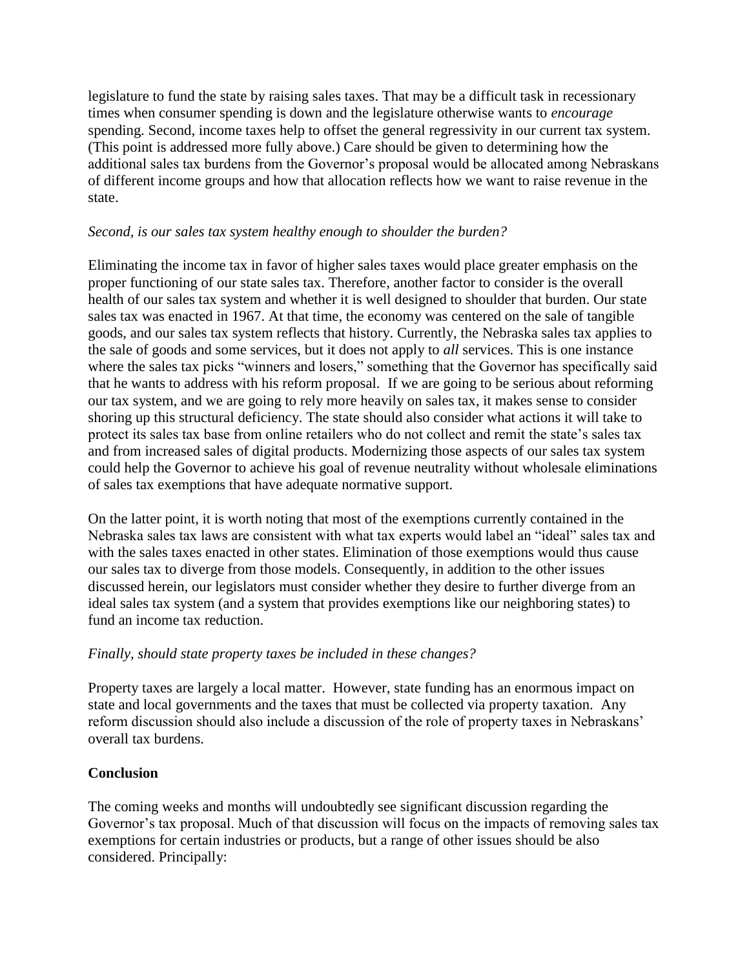legislature to fund the state by raising sales taxes. That may be a difficult task in recessionary times when consumer spending is down and the legislature otherwise wants to *encourage* spending. Second, income taxes help to offset the general regressivity in our current tax system. (This point is addressed more fully above.) Care should be given to determining how the additional sales tax burdens from the Governor's proposal would be allocated among Nebraskans of different income groups and how that allocation reflects how we want to raise revenue in the state.

#### *Second, is our sales tax system healthy enough to shoulder the burden?*

Eliminating the income tax in favor of higher sales taxes would place greater emphasis on the proper functioning of our state sales tax. Therefore, another factor to consider is the overall health of our sales tax system and whether it is well designed to shoulder that burden. Our state sales tax was enacted in 1967. At that time, the economy was centered on the sale of tangible goods, and our sales tax system reflects that history. Currently, the Nebraska sales tax applies to the sale of goods and some services, but it does not apply to *all* services. This is one instance where the sales tax picks "winners and losers," something that the Governor has specifically said that he wants to address with his reform proposal. If we are going to be serious about reforming our tax system, and we are going to rely more heavily on sales tax, it makes sense to consider shoring up this structural deficiency. The state should also consider what actions it will take to protect its sales tax base from online retailers who do not collect and remit the state's sales tax and from increased sales of digital products. Modernizing those aspects of our sales tax system could help the Governor to achieve his goal of revenue neutrality without wholesale eliminations of sales tax exemptions that have adequate normative support.

On the latter point, it is worth noting that most of the exemptions currently contained in the Nebraska sales tax laws are consistent with what tax experts would label an "ideal" sales tax and with the sales taxes enacted in other states. Elimination of those exemptions would thus cause our sales tax to diverge from those models. Consequently, in addition to the other issues discussed herein, our legislators must consider whether they desire to further diverge from an ideal sales tax system (and a system that provides exemptions like our neighboring states) to fund an income tax reduction.

# *Finally, should state property taxes be included in these changes?*

Property taxes are largely a local matter. However, state funding has an enormous impact on state and local governments and the taxes that must be collected via property taxation. Any reform discussion should also include a discussion of the role of property taxes in Nebraskans' overall tax burdens.

# **Conclusion**

The coming weeks and months will undoubtedly see significant discussion regarding the Governor's tax proposal. Much of that discussion will focus on the impacts of removing sales tax exemptions for certain industries or products, but a range of other issues should be also considered. Principally: